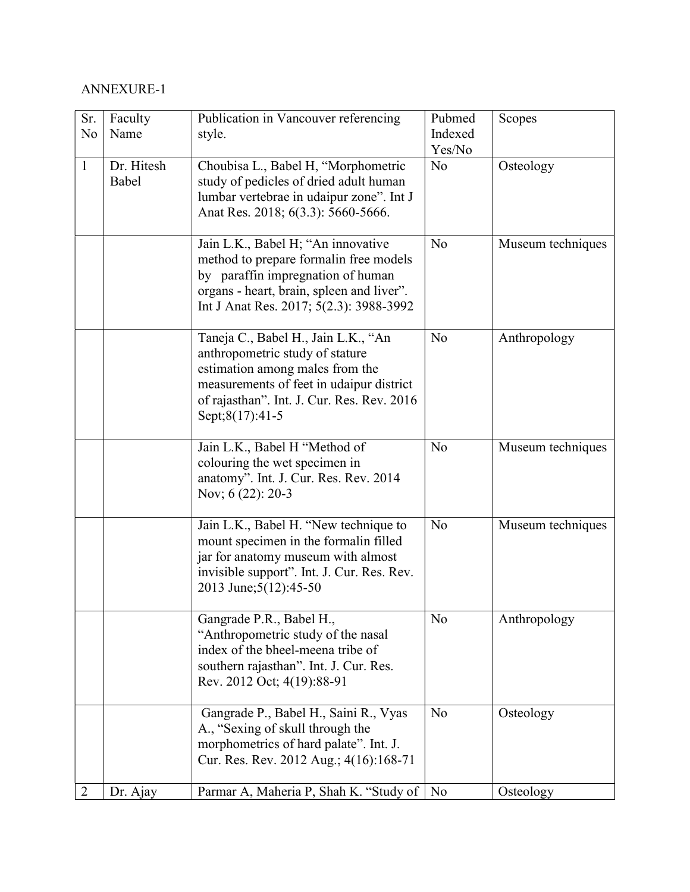## ANNEXURE-1

| Sr.<br>No      | Faculty<br>Name     | Publication in Vancouver referencing<br>style.                                                                                                                                                                         | Pubmed<br>Indexed<br>Yes/No | Scopes            |
|----------------|---------------------|------------------------------------------------------------------------------------------------------------------------------------------------------------------------------------------------------------------------|-----------------------------|-------------------|
| $\mathbf{1}$   | Dr. Hitesh<br>Babel | Choubisa L., Babel H, "Morphometric<br>study of pedicles of dried adult human<br>lumbar vertebrae in udaipur zone". Int J<br>Anat Res. 2018; 6(3.3): 5660-5666.                                                        | No                          | Osteology         |
|                |                     | Jain L.K., Babel H; "An innovative<br>method to prepare formalin free models<br>by paraffin impregnation of human<br>organs - heart, brain, spleen and liver".<br>Int J Anat Res. 2017; 5(2.3): 3988-3992              | No                          | Museum techniques |
|                |                     | Taneja C., Babel H., Jain L.K., "An<br>anthropometric study of stature<br>estimation among males from the<br>measurements of feet in udaipur district<br>of rajasthan". Int. J. Cur. Res. Rev. 2016<br>Sept;8(17):41-5 | No                          | Anthropology      |
|                |                     | Jain L.K., Babel H "Method of<br>colouring the wet specimen in<br>anatomy". Int. J. Cur. Res. Rev. 2014<br>Nov; 6 (22): 20-3                                                                                           | N <sub>o</sub>              | Museum techniques |
|                |                     | Jain L.K., Babel H. "New technique to<br>mount specimen in the formalin filled<br>jar for anatomy museum with almost<br>invisible support". Int. J. Cur. Res. Rev.<br>2013 June; 5(12): 45-50                          | N <sub>o</sub>              | Museum techniques |
|                |                     | Gangrade P.R., Babel H.,<br>"Anthropometric study of the nasal<br>index of the bheel-meena tribe of<br>southern rajasthan". Int. J. Cur. Res.<br>Rev. 2012 Oct; 4(19):88-91                                            | N <sub>o</sub>              | Anthropology      |
|                |                     | Gangrade P., Babel H., Saini R., Vyas<br>A., "Sexing of skull through the<br>morphometrics of hard palate". Int. J.<br>Cur. Res. Rev. 2012 Aug.; 4(16):168-71                                                          | N <sub>o</sub>              | Osteology         |
| $\overline{2}$ | Dr. Ajay            | Parmar A, Maheria P, Shah K. "Study of   No                                                                                                                                                                            |                             | Osteology         |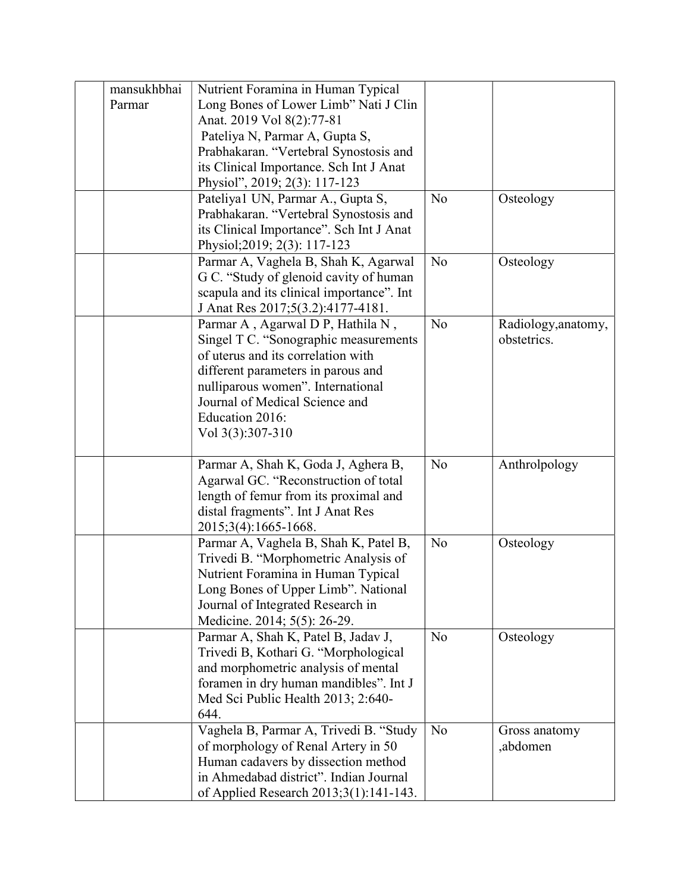| mansukhbhai | Nutrient Foramina in Human Typical        |                |                     |
|-------------|-------------------------------------------|----------------|---------------------|
| Parmar      | Long Bones of Lower Limb" Nati J Clin     |                |                     |
|             | Anat. 2019 Vol 8(2):77-81                 |                |                     |
|             | Pateliya N, Parmar A, Gupta S,            |                |                     |
|             | Prabhakaran. "Vertebral Synostosis and    |                |                     |
|             | its Clinical Importance. Sch Int J Anat   |                |                     |
|             | Physiol", 2019; 2(3): 117-123             |                |                     |
|             | Pateliya1 UN, Parmar A., Gupta S,         | N <sub>o</sub> | Osteology           |
|             | Prabhakaran. "Vertebral Synostosis and    |                |                     |
|             | its Clinical Importance". Sch Int J Anat  |                |                     |
|             | Physiol; 2019; 2(3): 117-123              |                |                     |
|             | Parmar A, Vaghela B, Shah K, Agarwal      | N <sub>o</sub> | Osteology           |
|             | G C. "Study of glenoid cavity of human    |                |                     |
|             | scapula and its clinical importance". Int |                |                     |
|             | J Anat Res 2017;5(3.2):4177-4181.         |                |                     |
|             | Parmar A, Agarwal D P, Hathila N,         | N <sub>o</sub> | Radiology, anatomy, |
|             | Singel T C. "Sonographic measurements     |                | obstetrics.         |
|             | of uterus and its correlation with        |                |                     |
|             | different parameters in parous and        |                |                     |
|             | nulliparous women". International         |                |                     |
|             | Journal of Medical Science and            |                |                     |
|             | Education 2016:                           |                |                     |
|             | Vol 3(3):307-310                          |                |                     |
|             | Parmar A, Shah K, Goda J, Aghera B,       | No             | Anthrolpology       |
|             | Agarwal GC. "Reconstruction of total      |                |                     |
|             | length of femur from its proximal and     |                |                     |
|             | distal fragments". Int J Anat Res         |                |                     |
|             | 2015;3(4):1665-1668.                      |                |                     |
|             | Parmar A, Vaghela B, Shah K, Patel B,     | No             | Osteology           |
|             | Trivedi B. "Morphometric Analysis of      |                |                     |
|             | Nutrient Foramina in Human Typical        |                |                     |
|             | Long Bones of Upper Limb". National       |                |                     |
|             | Journal of Integrated Research in         |                |                     |
|             | Medicine. 2014; 5(5): 26-29.              |                |                     |
|             | Parmar A, Shah K, Patel B, Jadav J,       | N <sub>o</sub> | Osteology           |
|             | Trivedi B, Kothari G. "Morphological      |                |                     |
|             | and morphometric analysis of mental       |                |                     |
|             | foramen in dry human mandibles". Int J    |                |                     |
|             | Med Sci Public Health 2013; 2:640-        |                |                     |
|             | 644.                                      |                |                     |
|             | Vaghela B, Parmar A, Trivedi B. "Study    | N <sub>o</sub> | Gross anatomy       |
|             | of morphology of Renal Artery in 50       |                | ,abdomen            |
|             | Human cadavers by dissection method       |                |                     |
|             | in Ahmedabad district". Indian Journal    |                |                     |
|             | of Applied Research 2013;3(1):141-143.    |                |                     |